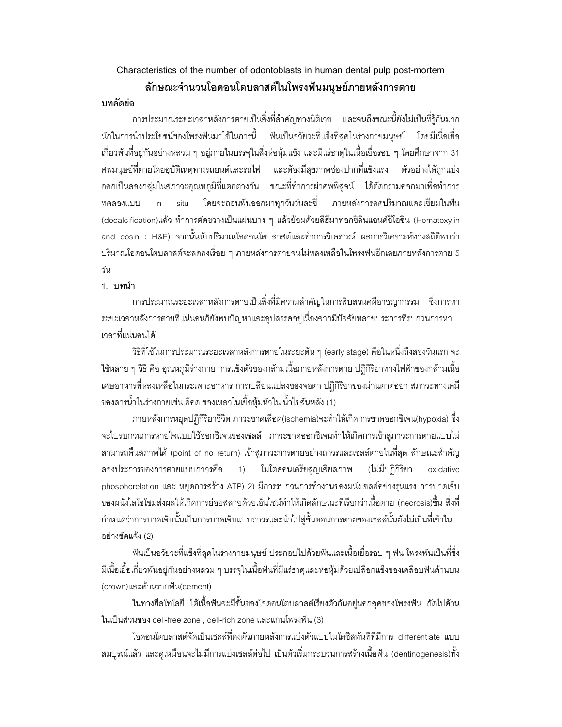# Characteristics of the number of odontoblasts in human dental pulp post-mortem ลักษณะจำนวนโอดอนโตบลาสต์ในโพรงฟันมนุษย์ภายหลังการตาย

### บทคัดย่อ

การประมาณระยะเวลาหลังการตายเป็นสิ่งที่สำคัญทางนิติเวช และจนถึงขณะนี้ยังไม่เป็นที่รู้กันมาก นักในการนำประโยชน์ของโพรงฟันมาใช้ในการนี้ ฟันเป็นอวัยวะที่แข็งที่สุดในร่างกายมนุษย์ โดยมีเนื่อเยื่อ เกี่ยวพันที่อยู่กันอย่างหลวม ๆ อยู่ภายในบรรจุในสิ่งห่อหุ้มแข็ง และมีแร่ธาตุในเนื้อเยื่อรอบ ๆ โดยศึกษาจาก 31  $\,$ ศพมนุษย์ที่ตายโดยอุบัติเหตุทางรถยนต์และรถไฟ และต้องมีสุขภาพช่องปากที่แข็งแรง ตัว อย่างได้ถูกแบ่ง ออกเป็นสองกลุ่มในสภาวะอุณหภูมิที่แตกต่างกัน ขณะที่ทำการผ่าศพพิสูจน์ ได้ตัดกรามออกมาเพื่อทำการ ทดลองแบบ in situ โดยจะถอนฟันออกมาทุกวันวันละซี่ ภายหลังการลดปริมาณแคลเซียมในฟัน (decalcification)แล้ว ทำการตัดขวางเป็นแผ่นบาง ๆ แล้วย้อมด้วยสีฮีมาทอกซิลินแอนด์อีโอซิน (Hematoxylin and eosin : H&E) จากนั้นนับปริมาณโอดอนโตบลาสต์และทำการวิเคราะห์ ผลการวิเคราะห์ทางสถิติพบว่า ปริมาณโอดอนโตบลาสต์จะลดลงเรื่อย ๆ ภายหลังการตายจนไม่หลงเหลือในโพรงฟันอีกเลยภายหลังการตาย 5 วัน

#### 1. บทนำ

การประมาณระยะเวลาหลังการตายเป็นสิ่งที่มีความสำคัญในการสืบสวนคดีอาชญากรรม ซึ่งการหา ระยะเวลาหลังการตายที่แน่นอนก็ยังพบปัญหาและอุปสรรคอยู่เนื่องจากมีปัจจัยหลายประการที่รบกวนการหา เวลาที่แน่นอนได้

วิธีที่ใช้ในการประมาณระยะเวลาหลังการตายในระยะต้น ๆ (early stage) คือในหนึ่งถึงสองวันแรก จะ ใช้หลาย ๆ วิธี คือ อุณหภูมิร่างกาย การแข็งตัวของกล้ามเนื้อภายหลังการตาย ปฏิกิริยาทางไฟฟ้าของกล้ามเนื้อ เศษอาหารที่หลงเหลือในกระเพาะอาหาร การเปลี่ยนแปลงของจอตา ปฏิกิริยาของม่านตาต่อยา สภาวะทางเคมี ของสารน้ำในร่างกายเช่นเลือด ของเหลวในเยื้อหุ้มหัวใน น้ำไขสันหลัง (1)

ภายหลังการหยุดปฏิกิริยาชีวิต ภาวะขาดเลือด(ischemia)จะทำให้เกิดการขาดออกซิเจน(hypoxia) ซึ่ง จะไปรบกวนการหายใจแบบใช้ออกซิเจนของเซลล์ ภาวะขาดออกซิเจนทำให้เกิดการเข้าสู่ภาวะการตายแบบไม่ สามารถคืนสภาพได้ (point of no return) เข้าสูภาวะการตายอย่างถาวรและเซลล์ตายในที่สุด ลักษณะสำคัญ สองประการของการตายแบบถ<mark>า</mark>ว รคือ 1) โมโตคอนเดรียสูญเสียสภาพ (ไม่มีปฏิกิริยา oxidative phosphorelation และ หยุดการสร้าง ATP) 2) มีการรบกวนการทำงานของผนังเซลล์อย่างรุนแรง การบาดเจ็บ ของผนังไลโซโซมส่งผลให้เกิดการย่อยสลายด้วยเอ็นไซม์ทำให้เกิดลักษณะที่เรียกว่าเนื้อตาย (necrosis)ขึ้น สิ่งที่ กำหนดว่าการบาดเจ็บนั้นเป็นการบาดเจ็บแบบถาวรและนำไปสู่ขั้นตอนการตายของเซลล์นั้นยังไม่เป็นที่เข้าใน อย่างชัดแจ้ง (2)

พันเป็นอวัยวะที่แข็งที่สุดในร่างกายมนุษย์ ประกอบไปด้วยพันและเนื้อเยื่อรอบ ๆ พัน โพรงพันเป็นที่ซึ่ง มีเนื้อเยื้อเกี่ยวพันอยู่กันอย่างหลวม ๆ บรรจุในเนื้อฟันที่มีแร่ธาตุและห่อหุ้มด้วยเปลือกแข็งของเคลือบฟันด้านบน (crown)และด้านรากฟัน(cement)

ในทางฮีสโทโลยี ใต้เนื้อฟันจะมีชั้นของโอดอนโตบลาสต์เรียงตัวกันอยู่นอกสุดของโพรงฟัน ถัดไปด้าน ในเป็นส่วนของ cell-free zone , cell-rich zone และแกนโพรงฟัน (3)

โอดอนโตบลาสต์จัดเป็นเซลล์ที่คงตัวภายหลังการแบ่งตัวแบบไมโตซิสทันทีที่มีการ differentiate แบบ สมบูรณ์แล้ว และดูเหมือนจะไม่มีการแบ่งเซลล์ต่อไป เป็นตัวเริ่มกระบวนการสร้างเนื้อฟัน (dentinogenesis)ทั้ง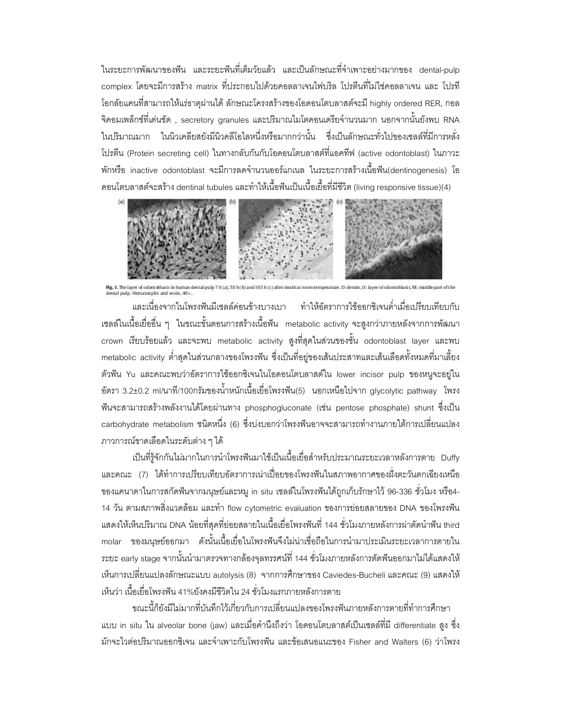ในระยะการพัฒนาของฟัน และระยะฟันที่เต็มวัยแล้ว และเป็นลักษณะที่จำเพาะอย่างมากของ dental-pulp complex โดยจะมีการสร้าง matrix ที่ประกอบไปด้วยคอลลาเจนไฟบริล โปรตีนที่ไม่ใช่คอลลาเจน และ โปรที โอกลัยแคนที่สามารถให้แร่ธาตุผ่านได้ ลักษณะโครงสร้างของโอดอนโตบลาสต์จะมี highly ordered RER, กอล จิคอมเพล็กซ์ที่เด่นชัด , secretory granules และปริมาณไมโตคอนเดรียจำนวนมาก นอกจากนั้นยังพบ RNA ในปริมาณมาก ในนิวเคลียสยังมีนิวคลีโอไลหนึ่งหรือมากกว่านั้น ซึ่งเป็นลักษณะทั่วไปของเซลล์ที่มีการหลั่ง โปรตีน (Protein secreting cell) ในทางกลับกันกับโอดอนโตบลาสต์ที่แอคทีฟ (active odontoblast) ในภาวะ พักหรือ inactive odontoblast จะมีการลดจำนวนออร์แกเนล ในระยะการสร้างเนื้อฟัน(dentinogenesis) โอ ดอนโตบลาสต์จะสร้าง dentinal tubules และทำให้เนื้อพันเป็นเนื้อเยื้อที่มีชีวิต (living responsive tissue)(4)



**Hg. 1.** The layer of odontoblasts in human dental pulp 7 h (a), 55 h (b) and 103 h (c) after death at roo dental pulp. Hematoxylin and eosin, 40 x. m temperature. D: dentin. O: layer of odontoblasts. M: middle part of the

และเนื่องจากในโพรงฟันมีเซลล์ค่อนข้างบางเบา ทำให้อัตราการใช้ออกซิเจนต่ำเมื่อเปรียบเทียบกับ เซลล์ในเนื้อเยื่ออื่น ๆ ในขณะขั้นตอนการสร้างเนื้อฟัน metabolic activity จะสูงกว่าภายหลังจากการพัฒนา crown เรียบร้อยแล้ว และจะพบ metabolic activity สูงที่สุดในส่วนของชั้น odontoblast layer และพบ metabolic activity ต่ำสุดในส่วนกลางของโพรงฟัน ซึ่งเป็นที่อยู่ของเส้นประสาทและเส้นเลือดทั้งหมดที่มาเลี้ยง ตัวฟัน Yu และคณะพบว่าอัตราการใช้ออกซิเจนในโอดอนโตบลาสต์ใน lower incisor pulp ของหนูจะอยู่ใน ขัตรา 3.2±0.2 ml/นาที่/100กรัมของน้ำหนักเนื้อเยื่อโพรงฟัน(5) นอกเหนือไปจาก glycolytic pathway โพรง ฟันจะสามารถสร้างพลังงานได้โดยผ่านทาง phosphogluconate (เช่น pentose phosphate) shunt ซึ่งเป็น carbohydrate metabolism ชนิดหนึ่ง (6) ซึ่งบ่งบอกว่าโพรงฟันอาจจะสามารถทำงานภายใต้การเปลี่ยนแปลง ภาวการณ์ขาดเลือดในระดับต่าง ๆ ได้

เป็นที่รู้จักกันไม่มากในการนำโพรงฟันมาใช้เป็นเนื้อเยื่อสำหรับประมาณระยะเวลาหลังการตาย Duffy และคณะ (7) ได้ทำการเปรียบเทียบอัตราการเน่าเปื่อยของโพรงฟันในสภาพอากาศของฝั่งตะวันตกเฉียงเหนือ ของแคนาดาในการสกัดฟันจากมนุษย์และหมู in situ เซลล์ในโพรงฟันได้ถูกเก็บรักษาไว้ 96-336 ชั่วโมง หรือ4-14 วัน ตามสภาพสิ่งแวดล้อม และทำ flow cytometric evaluation ของการย่อยสลายของ DNA ของโพรงฟัน แสดงให้เห็นปริมาณ DNA น้อยที่สุดที่ย่อยสลายในเนื้อเยื่อโพรงฟันที่ 144 ชั่วโมงภายหลังการผ่าตัดนำฟัน third molar ของมนุษย์ออกมา ดังนั้นเนื้อเยื่อในโพรงฟันจึงไม่น่าเชื่อถือในการนำมาประเมินระยะเวลาการตายใน ระยะ early stage จากนั้นนำมาตรวจทางกล้องจุลทรรศน์ที่ 144 ชั่วโมงภายหลังการตัดฟันออกมาไม่ได้แสดงให้ เห็นการเปลี่ยนแปลงลักษณะแบบ autolysis (8) จากการศึกษาของ Caviedes-Bucheli และคณะ (9) แสดงให้ เห็นว่า เนื้อเยื่อโพรงฟัน 41%ยังคงมีชีวิตใน 24 ชั่วโมงแรกภายหลังการตาย

ขณะนี้ก็ยังมีไม่มากที่บันทึกไว้เกี่ยวกับการเปลี่ยนแปลงของโพรงฟันภายหลังการตายที่ทำการศึกษา แบบ in situ ใน alveolar bone (jaw) และเมื่อคำนึงถึงว่า โอดอนโตบลาสต์เป็นเซลล์ที่มี differentiate สูง ซึ่ง มักจะไวต่อปริมาณออกซิเจน และจำเพาะกับโพรงฟัน และข้อเสนอแนะของ Fisher and Walters (6) ว่าโพรง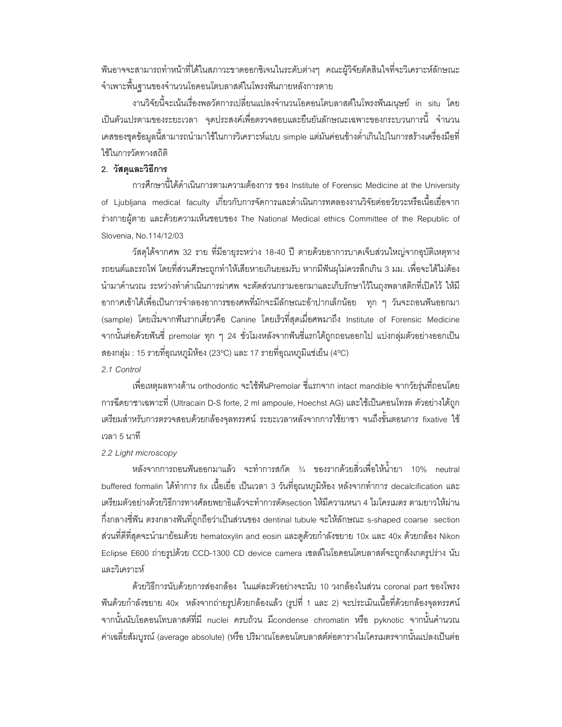้ ฟันอาจจะสามารถทำหน้าที่ได้ในสภาวะขาดออกซิเจนในระดับต่างๆ คณะผู้วิจัยตัดสินใจที่จะวิเคราะห์ลักษณะ จำเพาะพื้นฐานของจำนวนโอดอนโตบลาสต์ในโพรงฟันภายหลังการตาย

งานวิจัยนี้จะเน้นเรื่องพลวัตการเปลี่ยนแปลงจำนวนโอดอนโตบลาสต์ในโพรงฟันมนุษย์ in situ โดย ้เป็นตัวแปรตามของระยะเวลา จุดประสงค์เพื่อตรวจสอบและยืนยันลักษณะเฉพาะของกระบวนการนี้ จำนวน เคสของชุดข้อมูลนี้สามารถนำมาใช้ในการวิเคราะห์แบบ simple แต่มันค่อนข้างต่ำเกินไปในการสร้างเครื่องมือที่ ใช้ในการวัดทางสถิติ

### 2. วัสดุและวิธีการ

การศึกษานี้ได้ดำเนินการตามความต้องการ ของ Institute of Forensic Medicine at the University of Ljubljana medical faculty เกี่ยวกับการจัดการและดำเนินการทดลองงานวิจัยต่ออวัยวะหรือเนื้อเยื่อจาก ร่างกายผู้ตาย และด้วยความเห็นชอบของ The National Medical ethics Committee of the Republic of Slovenia, No.114/12/03

้วัสดุได้จากศพ 32 ราย ที่มีอายุระหว่าง 18-40 ปี ตายด้วยอาการบาดเจ็บส่วนใหญ่จากอุบัติเหตุทาง ิ รถยนต์และรถไฟ โดยที่ส่วนศีรษะถูกทำให้เสียหายเกินยอมรับ หากมีฟันผุไม่ควรลึกเกิน 3 มม. เพื่อจะได้ไม่ต้อง ้นำมาคำนวณ ระหว่างทำดำเนินการผ่าศพ จะตัดส่วนกรามออกมาและเก็บรักษาไว้ในถุงพลาสติกที่เปิดไว้ ให้มี ่ อากาศเข้าได้เพื่อเป็นการจำลองอาการของศพที่มักจะมีลักษณะอ้าปากเล็กน้อย ทุก ๆ วันจะถอนพืนออกมา (sample) โดยเริ่มจากฟันรากเดี่ยวคือ Canine โดยเร็วที่สุดเมื่อศพมาถึง Institute of Forensic Medicine ี จากนั้นต่อด้วยพันซี่ premolar ทุก ๆ 24 ชั่วโมงหลังจากพันซี่แรกได้ถูกถอนออกไป แบ่งกลุ่มตัวอย่างออกเป็น ี สองกลุ่ม : 15 รายที่อุณหภูมิห้อง (23°C) และ 17 รายที่อุณหภูมิแข่เย็น (4°C) 2.1 Control

เพื่อเหตุผลทางด้าน orthodontic จะใช้ฟันPremolar ซี่แรกจาก intact mandible จากวัยรุ่นที่ถอนโดย การฉีดยาชาเฉพาะที่ (Ultracain D-S forte, 2 ml ampoule, Hoechst AG) และใช้เป็นคอนโทรล ตัวอย่างได้ถูก ้ เตรียมสำหรับการตรวจสอบด้วยกล้องจุลทรรศน์ ระยะเวลาหลังจากการใช้ยาชา จนถึงขั้นตอนการ fixative ใช้ เวลา 5 นาที

#### 2.2 Light microscopy

หลังจากการถอนฟันออกมาแล้ว จะทำการสกัด ¾ ของรากด้วยสิ่วเพื่อให้น้ำยา 10% neutral buffered formalin ได้ทำการ fix เนื้อเยื่อ เป็นเวลา 3 วันที่อุณหภูมิห้อง หลังจากทำการ decalcification และ เตรียมตัวอย่างด้วยวิธีการทางศัลยพยาธิแล้วจะทำการตัดsection ให้มีความหนา 4 ไมโครเมตร ตามยาวให้ผ่าน กึ่งกลางซึ่ฟัน ตรงกลางฟันที่ถูกถือว่าเป็นส่วนของ dentinal tubule จะให้ลักษณะ s-shaped coarse section ส่วนที่ดีที่สุดจะนำมาย้อมด้วย hematoxylin and eosin และดูด้วยกำลังขยาย 10x และ 40x ด้วยกล้อง Nikon Eclipse E600 ถ่ายรูปด้วย CCD-1300 CD device camera เซลล์ในโอดอนโตบลาสต์จะถูกสังเกตรูปร่าง นับ และวิเคราะห์

ด้วยวิธีการนับด้วยการส่องกล้อง ในแต่ละตัวอย่างจะนับ 10 วงกล้องในส่วน coronal part ของโพรง ี ฟันด้วยกำลังขยาย 40x หลังจากถ่ายรูปด้วยกล้องแล้ว (รูปที่ 1 และ 2) จะประเมินเนื้อที่ด้วยกล้องจุลทรรศน์ จากนั้นนับโอดอนโทบลาสต์ที่มี nuclei ครบถ้วน มีcondense chromatin หรือ pyknotic จากนั้นคำนวณ ้ ค่าเฉลี่ยสัมบูรณ์ (average absolute) (หรือ ปริมาณโอดอนโตบลาสต์ต่อตารางไมโครเมตรจากนั้นแปลงเป็นต่อ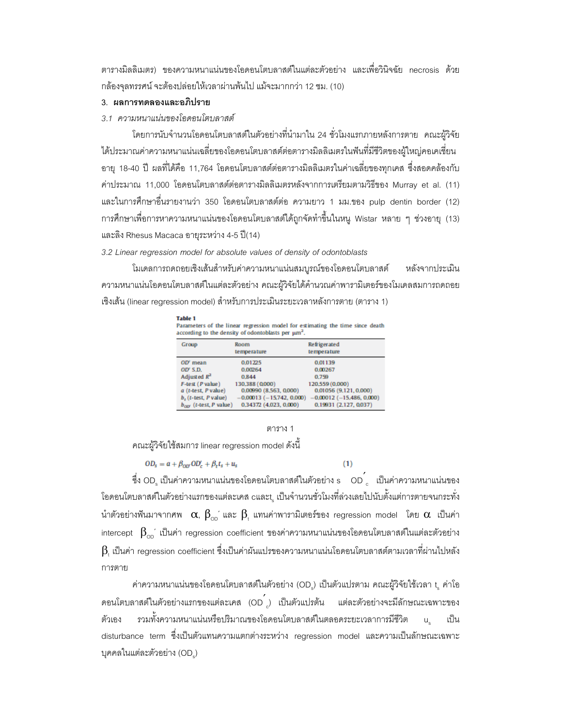ตารางมิลลิเมตร) ของความหนาแน่นของโอดอนโตบลาสต์ในแต่ละตัวอย่าง และเพื่อวินิจฉัย necrosis ด้วย กล้องจุลทรรศน์ จะต้องปล่อยให้เวลาผ่านพ้นไป แม้จะมากกว่า 12 ชม. (10)

### 3. ผลการทดลองและอภิปราย

# 3.1 ความหนาแน่นของโอดอนโตบลาสต์

โดยการนับจำนวนโอดอนโตบลาสต์ในตัวอย่างที่นำมาใน 24 ชั่วโมงแรกภายหลังการตาย คณะผู้วิจัย ได้ประมาณค่าความหนาแน่นเฉลี่ยของโอดอนโตบลาสต์ต่อตารางมิลลิเมตรในพื้นที่มีชีวิตของผู้ใหญ่คอเคเชี่ยน ้อายุ 18-40 ปี ผลที่ได้คือ 11,764 โอดอนโตบลาสต์ต่อตารางมิลลิเมตรในค่าเฉลี่ยของทุกเคส ซึ่งสอดคล้องกับ ้ค่าประมาณ 11,000 โอดอนโตบลาสต์ต่อตารางมิลลิเมตรหลังจากการเตรียมตามวิธีของ Murray et al. (11) และในการศึกษาอื่นรายงานว่า 350 โอดอนโตบลาสต์ต่อ ความยาว 1 มม.ของ pulp dentin border (12) ี การศึกษาเพื่อการหาความหนาแน่นของโอดอนโตบลาสต์ได้ถูกจัดทำขึ้นในหนู Wistar หลาย ๆ ช่วงอายุ (13) และลิง Rhesus Macaca อายุระหว่าง 4-5 ปี(14)

#### 3.2 Linear regression model for absolute values of density of odontoblasts

โมเดลการถดถอยเชิงเส้นสำหรับค่าความหนาแน่นสมบูรณ์ของโอดอนโตบลาสต์ หลังจากประเมิน ความหนาแน่นโอดอนโตบลาสต์ในแต่ละตัวอย่าง คณะผู้วิจัยได้คำนวณค่าพารามิเตอร์ของโมเดลสมการถดถอย เชิงเส้น (linear regression model) สำหรับการประเมินระยะเวลาหลังการตาย (ตาราง 1)

| Table 1<br>Parameters of the linear regression model for estimating the time since death<br>according to the density of odontoblasts per $\mu$ m <sup>2</sup> . |                              |                            |  |  |
|-----------------------------------------------------------------------------------------------------------------------------------------------------------------|------------------------------|----------------------------|--|--|
| Group                                                                                                                                                           | Room                         | Refrigerated               |  |  |
|                                                                                                                                                                 | temperature                  | temperature                |  |  |
| $OD'$ mean                                                                                                                                                      | 0.01225                      | 0.01139                    |  |  |
| OD' S.D.                                                                                                                                                        | 0.00264                      | 0.00267                    |  |  |
| Adjusted $R^2$                                                                                                                                                  | 0.844                        | 0.759                      |  |  |
| $F$ -test ( $P$ value)                                                                                                                                          | 130.388 (0.000)              | 120.559 (0.000)            |  |  |
| a (t-test, P value)                                                                                                                                             | 0.00990(8.563, 0.000)        | 0.01056 (9.121, 0.000)     |  |  |
| $b, (t-test, P value)$                                                                                                                                          | $0.00013 (-15.742, 0.000)$   | $0.00012 (-15.486, 0.000)$ |  |  |
| h friend Dankool                                                                                                                                                | <b>COMO DE CENTA CECACIO</b> | ורכמה דרו ר/ וכמון ה       |  |  |

#### ตาราง 1

 $(1)$ 

คณะผู้วิจัยใช้สมการ linear regression model ดังนี้

$$
OD_s = a + \beta_{OD'} OD_c' + \beta_t t_s + u_s
$$

ซึ่ง OD เป็นค่าความหนาแน่นของโอดอนโตบลาสต์ในตัวอย่าง s OD ้ เป็นค่าความหนาแน่นของ โอดอนโตบลาสต์ในตัวอย่างแรกของแต่ละเคส cและt เป็นจำนวนชั่วโมงที่ล่วงเลยไปนับตั้งแต่การตายจนกระทั่ง นำตัวอย่างฟันมาจากศพ $\alpha$ ,  $\beta_{\text{on}}$  และ  $\beta$ , แทนค่าพารามิเตอร์ของ regression model โดย  $\alpha$  เป็นค่า intercept  $\beta_{\rm oo}$ ้ เป็นค่า regression coefficient ของค่าความหนาแน่นของโอดอนโตบลาสต์ในแต่ละตัวอย่าง  $\,$ ß, เป็นค่า regression coefficient ซึ่งเป็นค่าผันแปรของความหนาแน่นโอดอนโตบลาสต์ตามเวลาที่ผ่านไปหลัง การตาย

ค่าความหนาแน่นของโอดอนโตบลาสต์ในตัวอย่าง (OD<sub>s</sub>) เป็นตัวแปรตาม คณะผู้วิจัยใช้เวลา t ูค่าโอ ิดอนโตบลาสต์ในตัวอย่างแรกของแต่ละเคส (OD ) เป็นตัวแปรต้น แต่ละตัวอย่างจะมีลักษณะเฉพาะของ รวมทั้งความหนาแน่นหรือปริมาณของโอดอนโตบลาสต์ในตลอดระยะเวลาการมีชีวิต ตัวเคง  $\mathsf{u}$ . เป็น disturbance term ซึ่งเป็นตัวแทนความแตกต่างระหว่าง regression model และความเป็นลักษณะเฉพาะ บุคคลในแต่ละตัวอย่าง (OD)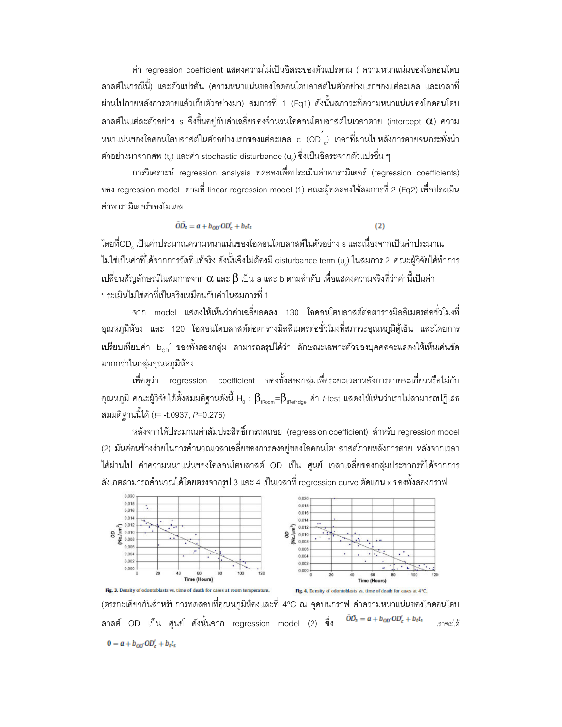ค่า regression coefficient แสดงความไม่เป็นอิสระของตัวแปรตาม ( ความหนาแน่นของโอดอนโตบ ลาสต์ในกรณีนี้) และตัวแปรต้น (ความหนาแน่นของโอดอนโตบลาสต์ในตัวอย่างแรกของแต่ละเคส และเวลาที่ ี ผ่านไปภายหลังการตายแล้วเก็บตัวอย่างมา) สมการที่ 1 (Eq1) ดังนั้นสภาวะที่ความหนาแน่นของโอดอนโตบ ลาสต์ในแต่ละตัวอย่าง s จึงขึ้นอยู่กับค่าเฉลี่ยของจำนวนโอดอนโตบลาสต์ในเวลาตาย (intercept  $\alpha$ ) ความ หนาแน่นของโอดอนโตบลาสต์ในตัวอย่างแรกของแต่ละเคส c (OD ) เวลาที่ผ่านไปหลังการตายจนกระทั่งนำ ้ตัวอย่างมาจากศพ (t.) และค่า stochastic disturbance (u.) ซึ่งเป็นอิสระจากตัวแปรอื่น ๆ

การวิเคราะห์ regression analysis ทดลองเพื่อประเมินค่าพารามิเตอร์ (regression coefficients) ของ regression model ตามที่ linear regression model (1) คณะผู้ทดลองใช้สมการที่ 2 (Eq2) เพื่อประเมิน ค่าพารามิเตอร์ของโมเดล

> $\overline{OD}_s = a + b_{\alpha r} OD'_r + bt_s$  $(2)$

โดยที่OD. เป็นค่าประมาณความหนาแน่นของโอดอนโตบลาสต์ในตัวอย่าง s และเนื่องจากเป็นค่าประมาณ ไม่ใช่เป็นค่าที่ได้จากการวัดที่แท้จริง ดังนั้นจึงไม่ต้องมี disturbance term (u) ในสมการ 2 คณะผู้วิจัยได้ทำการ เปลี่ยนสัญลักษณ์ในสมการจาก  $\alpha$  และ  $\beta$  เป็น a และ b ตามลำดับ เพื่อแสดงความจริงที่ว่าค่านี้เป็นค่า ประเมินไม่ใช่ค่าที่เป็นจริงเหมือนกับค่าในสมการที่ 1

จาก model แสดงให้เห็นว่าค่าเฉลี่ยลดลง 130 โอดอนโตบลาสต์ต่อตารางมิลลิเมตรต่อชั่วโมงที่ ้ อุณหภูมิห้อง และ 120 โอดอนโตบลาสต์ต่อตารางมิลลิเมตรต่อชั่วโมงที่สภาวะอุณหภูมิตู้เย็น และโดยการ เปรียบเทียบค่า b<sub>op</sub>´ ของทั้งสองกลุ่ม สามารถสรุปได้ว่า ลักษณะเฉพาะตัวของบุคคลจะแสดงให้เห็นเด่นชัด มากกว่าในกลุ่มอุณหภูมิห้อง

่ เพื่อดูว่า regression coefficient ของทั้งสองกลุ่มเพื่อระยะเวลาหลังการตายจะเกี่ยวหรือไม่กับ อุณหภูมิ คณะผู้วิจัยได้ตั้งสมมติฐานดังนี้ H $_{_0}$  :  $\beta_{_{\rm iRoom}}$ = $\beta_{_{\rm iRefridge}}$  ค่า *t*-test แสดงให้เห็นว่าเราไม่สามารถปฏิเสธ สมมติฐานนี้ได้ (*t*= -t.0937, P=0.276)

หลังจากได้ประมาณค่าส้มประสิทธิ์การถดถอย (regression coefficient) สำหรับ regression model (2) มันค่อนข้างง่ายในการคำนวณเวลาเฉลี่ยของการคงอยู่ของโอดอนโตบลาสต์ภายหลังการตาย หลังจากเวลา ได้ผ่านไป ค่าความหนาแน่นของโอดอนโตบลาสต์ OD เป็น ศนย์ เวลาเฉลี่ยของกล่มประชากรที่ได้จากการ สังเกตสามารถคำนวณได้โดยตรงจากรูป 3 และ 4 เป็นเวลาที่ regression curve ตัดแกน x ของทั้งสองกราฟ



(ตรรกะเดียวกันสำหรับการทดสอบที่อุณหภูมิห้องและที่ 4ºC ณ จุดบนกราฟ ค่าความหนาแน่นของโอดอนโตบ  $\bar{O}\bar{D_s} = a + b_{O\bar{D}'} O\bar{D'_c} + b_t t_s$ ิลาสต์ OD เป็น ศูนย์ ดังนั้นจาก regression model (2) ซึ่ง เราจะได้  $0 = a + b_{00'} 0D'_{c} + b_{t}t_{s}$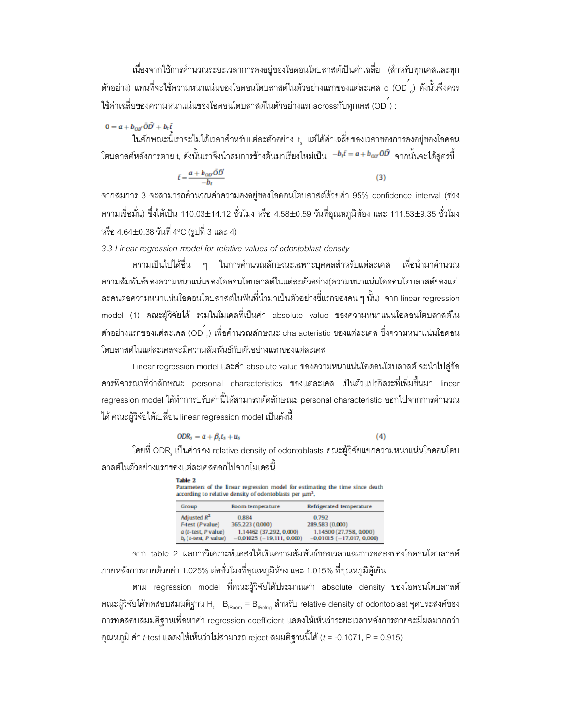เนื่องจากใช้การคำนวณระยะเวลาการคงอยู่ของโอดอนโตบลาสต์เป็นค่าเฉลี่ย (สำหรับทุกเคสและทุก ตัวอย่าง) แทนที่จะใช้ความหนาแน่นของโอดอนโตบลาสต์ในตัวอย่างแรกของแต่ละเคส c (OD  $_{\rm c}$ ) ดังนั้นจึงควร ใช้ค่าเฉลี่ยของความหนาแน่นของโอดอนโตบลาสต์ในตัวอย่างแรกacrossกับทุกเคส (OD<sup>'</sup>) :

# $0 = a + b_{00} \bar{O} \bar{D} + b_t \bar{t}$

ในลักษณะนี้เราจะไม่ได้เวลาสำหรับแต่ละตัวอย่าง t, แต่ได้ค่าเฉลี่ยของเวลาของการคงอยู่ของโอดอน '4-(
-- t, /

! --- %-%- &# -!"/%\$!

$$
\bar{t} = \frac{a + b_{00'}\tilde{O}\tilde{D}'}{-h} \tag{3}
$$

จากสมการ 3 จะสามารถคำนวณค่าความคงอยู่ของโอดอนโตบลาสต์ด้วยค่า 95% confidence interval (ช่วง ความเชื่อมั่น) ซึ่งได้เป็น 110.03±14.12 ชั่วโมง หรือ 4.58±0.59 วันที่อุณหภูมิห้อง และ 111.53±9.35 ชั่วโมง หรือ 4.64±0.38 วันที่ 4°C (รูปที่ 3 และ 4)

3.3 Linear regression model for relative values of odontoblast density

ความเป็นไปได้อื่น ๆ ในการคำนวณลักษณะเฉพาะบุคคลสำหรับแต่ละเคส เพื่อนำมาคำนวณ ความสัมพันธ์ของความหนาแน่นของโอดอนโตบลาสต์ในแต่ละตัวอย่าง(ความหนาแน่นโอดอนโตบลาสต์ของแต่ ละคนต่อความหนาแน่นโอดอนโตบลาสต์ในฟันที่นำมาเป็นตัวอย่างซี่แรกของคน ๆ นั้น) จาก linear regression model (1) คณะผู้วิจัยได้ รวมในโมเดลที่เป็นค่า absolute value ของความหนาแน่นโอดอนโตบลาสต์ใน ตัวอย่างแรกของแต่ละเคส (OD  $_{\rm c}$ ) เพื่อคำนวณลักษณะ characteristic ของแต่ละเคส ซึ่งความหนาแน่นโอดอน โตบลาสต์ในแต่ละเคสจะมีความสัมพันธ์กับตัวอย่างแรกของแต่ละเค<mark>ส</mark>

Linear regression model และค่า absolute value ของความหนาแน่นโอดอนโตบลาสต์ จะนำไปสู่ข้อ ควรพิจารณาที่ว่าลักษณะ personal characteristics ของแต่ละเคส เป็นตัวแปรอิสระที่เพิ่มขึ้นมา linear regression model ได้ทำการปรับค่านี้ให้สามารถตัดลักษณะ personal characteristic ออกไปจากการคำนวณ ได้ คณะผู้วิจัยได้เปลี่ยน linear regression model เป็นดังนี้

$$
ODR_s = a + \beta_t t_s + u_s \tag{4}
$$

โดยที่ ODR $_{\rm s}$  เป็นค่าของ relative density of odontoblasts คณะผู้วิจัยแยกความหนาแน่นโอดอนโตบ ลาสต์ในตัวอย่างแรกของแต่ละเคสออกไปจากโมเดลนี้

| Table 2<br>Parameters of the linear regression model for estimating the time since death<br>according to relative density of odontoblasts per $\mu$ m <sup>2</sup> . |                              |                            |                            |  |
|----------------------------------------------------------------------------------------------------------------------------------------------------------------------|------------------------------|----------------------------|----------------------------|--|
|                                                                                                                                                                      | Group                        | Room temperature           | Refrigerated temperature   |  |
|                                                                                                                                                                      | Adjusted $R^2$               | 0.884                      | 0.792                      |  |
|                                                                                                                                                                      | F-test (P value)             | 365.223 (0.000)            | 289.583 (0.000)            |  |
|                                                                                                                                                                      | $a$ (t-test, P value)        | 1.14462 (37.292, 0.000)    | 1.14500 (27.758, 0.000)    |  |
|                                                                                                                                                                      | $b.$ ( $t$ -test, $P$ value) | $0.01025 (-19.111, 0.000)$ | $-0.01015(-17.017, 0.000)$ |  |

จาก table 2 ผลการวิเคราะห์แดสงให้เห็นความสัมพันธ์ของเวลาและการลดลงของโอดอนโตบลาสต์ ภายหลังการตายด้วยค่า 1.025% ต่อชั่วโมงที่อุณหภูมิห้อง และ 1.015% ที่อุณหภูมิตู้เย็น

ตาม regression model ที่คณะผู้วิจัยได้ประมาณค่า absolute density ของโอดอนโตบลาสต์ คณะผู้วิจัยได้ทดสอบสมมติฐาน H $_{_0}$  : B $_{_{\rm Room}}$  = B $_{_{\rm Refrig}}$  สำหรับ relative density of odontoblast จุดประสงค์ของ การทดสอบสมมติฐานเพื่อหาค่า regression coefficient แสดงให้เห็นว่าระยะเวลาหลังการตายจะมีผลมากกว่า อุณหภูมิ ค่า *t*-test แสดงให้เห็นว่าไม่สามารถ reject สมมติฐานนี้ได้ (*t* = -0.1071, P = 0.915)